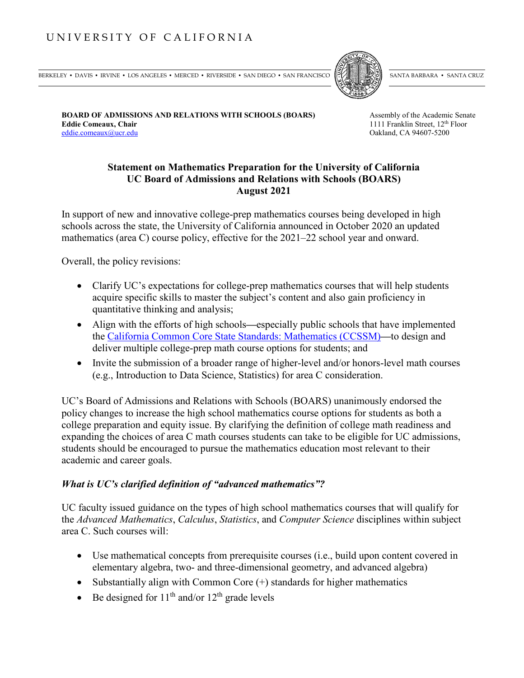# UNIVERSITY OF CALIFORNIA

BERKELEY • DAVIS • IRVINE • LOS ANGELES • MERCED • RIVERSIDE • SAN DIEGO • SAN FRANCISCO  $\mathbb{R}$  santa Barbara • Santa Cruz



**BOARD OF ADMISSIONS AND RELATIONS WITH SCHOOLS (BOARS)** Assembly of the Academic Senate **Eddie Comeaux, Chair** 1111 Franklin Street, 12<sup>th</sup> Floor eddie.comeaux@ucr.edu Oakland, CA 94607-5200

# **Statement on Mathematics Preparation for the University of California UC Board of Admissions and Relations with Schools (BOARS) August 2021**

In support of new and innovative college-prep mathematics courses being developed in high schools across the state, the University of California announced in October 2020 an updated mathematics (area C) course policy, effective for the 2021–22 school year and onward.

Overall, the policy revisions:

- Clarify UC's expectations for college-prep mathematics courses that will help students acquire specific skills to master the subject's content and also gain proficiency in quantitative thinking and analysis;
- Align with the efforts of high schools**—**especially public schools that have implemented the [California Common Core State Standards: Mathematics](https://www.cde.ca.gov/be/st/ss/documents/ccssmathstandardaug2013.pdf) (CCSSM)**—**to design and deliver multiple college-prep math course options for students; and
- Invite the submission of a broader range of higher-level and/or honors-level math courses (e.g., Introduction to Data Science, Statistics) for area C consideration.

UC's Board of Admissions and Relations with Schools (BOARS) unanimously endorsed the policy changes to increase the high school mathematics course options for students as both a college preparation and equity issue. By clarifying the definition of college math readiness and expanding the choices of area C math courses students can take to be eligible for UC admissions, students should be encouraged to pursue the mathematics education most relevant to their academic and career goals.

## *What is UC's clarified definition of "advanced mathematics"?*

UC faculty issued guidance on the types of high school mathematics courses that will qualify for the *Advanced Mathematics*, *Calculus*, *Statistics*, and *Computer Science* disciplines within subject area C. Such courses will:

- Use mathematical concepts from prerequisite courses (i.e., build upon content covered in elementary algebra, two- and three-dimensional geometry, and advanced algebra)
- Substantially align with Common Core  $(+)$  standards for higher mathematics
- Be designed for  $11<sup>th</sup>$  and/or  $12<sup>th</sup>$  grade levels